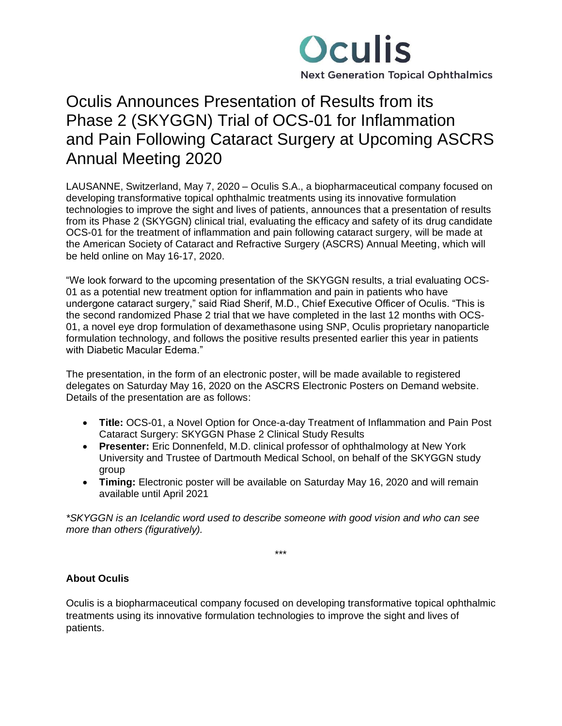

# Oculis Announces Presentation of Results from its Phase 2 (SKYGGN) Trial of OCS-01 for Inflammation and Pain Following Cataract Surgery at Upcoming ASCRS Annual Meeting 2020

LAUSANNE, Switzerland, May 7, 2020 – Oculis S.A., a biopharmaceutical company focused on developing transformative topical ophthalmic treatments using its innovative formulation technologies to improve the sight and lives of patients, announces that a presentation of results from its Phase 2 (SKYGGN) clinical trial, evaluating the efficacy and safety of its drug candidate OCS-01 for the treatment of inflammation and pain following cataract surgery, will be made at the American Society of Cataract and Refractive Surgery (ASCRS) Annual Meeting, which will be held online on May 16-17, 2020.

"We look forward to the upcoming presentation of the SKYGGN results, a trial evaluating OCS-01 as a potential new treatment option for inflammation and pain in patients who have undergone cataract surgery," said Riad Sherif, M.D., Chief Executive Officer of Oculis. "This is the second randomized Phase 2 trial that we have completed in the last 12 months with OCS-01, a novel eye drop formulation of dexamethasone using SNP, Oculis proprietary nanoparticle formulation technology, and follows the positive results presented earlier this year in patients with Diabetic Macular Edema."

The presentation, in the form of an electronic poster, will be made available to registered delegates on Saturday May 16, 2020 on the ASCRS Electronic Posters on Demand website. Details of the presentation are as follows:

- **Title:** OCS-01, a Novel Option for Once-a-day Treatment of Inflammation and Pain Post Cataract Surgery: SKYGGN Phase 2 Clinical Study Results
- **Presenter:** Eric Donnenfeld, M.D. clinical professor of ophthalmology at New York University and Trustee of Dartmouth Medical School, on behalf of the SKYGGN study group
- **Timing:** Electronic poster will be available on Saturday May 16, 2020 and will remain available until April 2021

*\*SKYGGN is an Icelandic word used to describe someone with good vision and who can see more than others (figuratively).*

\*\*\*

# **About Oculis**

Oculis is a biopharmaceutical company focused on developing transformative topical ophthalmic treatments using its innovative formulation technologies to improve the sight and lives of patients.